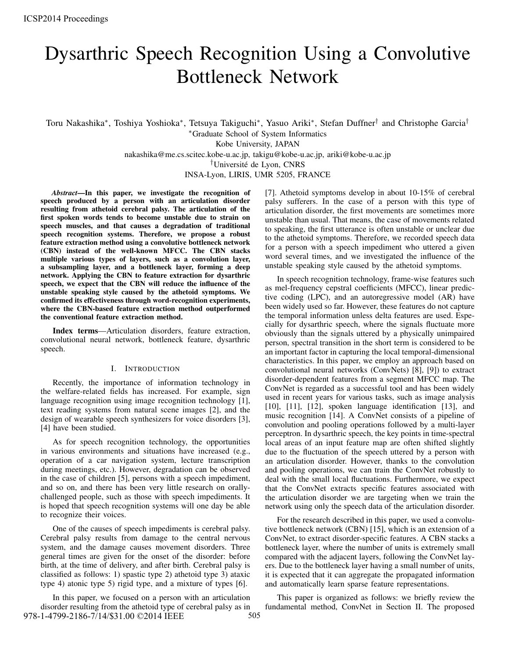# Dysarthric Speech Recognition Using a Convolutive Bottleneck Network

Toru Nakashika∗, Toshiya Yoshioka∗, Tetsuya Takiguchi∗, Yasuo Ariki∗, Stefan Duffner† and Christophe Garcia† ∗Graduate School of System Informatics

> Kobe University, JAPAN nakashika@me.cs.scitec.kobe-u.ac.jp, takigu@kobe-u.ac.jp, ariki@kobe-u.ac.jp †Universite de Lyon, CNRS ´

> > INSA-Lyon, LIRIS, UMR 5205, FRANCE

*Abstract*—In this paper, we investigate the recognition of speech produced by a person with an articulation disorder resulting from athetoid cerebral palsy. The articulation of the first spoken words tends to become unstable due to strain on speech muscles, and that causes a degradation of traditional speech recognition systems. Therefore, we propose a robust feature extraction method using a convolutive bottleneck network (CBN) instead of the well-known MFCC. The CBN stacks multiple various types of layers, such as a convolution layer, a subsampling layer, and a bottleneck layer, forming a deep network. Applying the CBN to feature extraction for dysarthric speech, we expect that the CBN will reduce the influence of the unstable speaking style caused by the athetoid symptoms. We confirmed its effectiveness through word-recognition experiments, where the CBN-based feature extraction method outperformed the conventional feature extraction method.

Index terms—Articulation disorders, feature extraction, convolutional neural network, bottleneck feature, dysarthric speech.

## I. INTRODUCTION

Recently, the importance of information technology in the welfare-related fields has increased. For example, sign language recognition using image recognition technology [1], text reading systems from natural scene images [2], and the design of wearable speech synthesizers for voice disorders [3], [4] have been studied.

As for speech recognition technology, the opportunities in various environments and situations have increased (e.g., operation of a car navigation system, lecture transcription during meetings, etc.). However, degradation can be observed in the case of children [5], persons with a speech impediment, and so on, and there has been very little research on orallychallenged people, such as those with speech impediments. It is hoped that speech recognition systems will one day be able to recognize their voices.

One of the causes of speech impediments is cerebral palsy. Cerebral palsy results from damage to the central nervous system, and the damage causes movement disorders. Three general times are given for the onset of the disorder: before birth, at the time of delivery, and after birth. Cerebral palsy is classified as follows: 1) spastic type 2) athetoid type 3) ataxic type 4) atonic type 5) rigid type, and a mixture of types [6].

In this paper, we focused on a person with an articulation disorder resulting from the athetoid type of cerebral palsy as in<br> $1-4799-2186-7/14/\$31.00 \text{ } \textcircled{2014}$  IEEE 505 978-1-4799-2186-7/14/\$31.00 ©2014 IEEE

[7]. Athetoid symptoms develop in about 10-15% of cerebral palsy sufferers. In the case of a person with this type of articulation disorder, the first movements are sometimes more unstable than usual. That means, the case of movements related to speaking, the first utterance is often unstable or unclear due to the athetoid symptoms. Therefore, we recorded speech data for a person with a speech impediment who uttered a given word several times, and we investigated the influence of the unstable speaking style caused by the athetoid symptoms.

In speech recognition technology, frame-wise features such as mel-frequency cepstral coefficients (MFCC), linear predictive coding (LPC), and an autoregressive model (AR) have been widely used so far. However, these features do not capture the temporal information unless delta features are used. Especially for dysarthric speech, where the signals fluctuate more obviously than the signals uttered by a physically unimpaired person, spectral transition in the short term is considered to be an important factor in capturing the local temporal-dimensional characteristics. In this paper, we employ an approach based on convolutional neural networks (ConvNets) [8], [9]) to extract disorder-dependent features from a segment MFCC map. The ConvNet is regarded as a successful tool and has been widely used in recent years for various tasks, such as image analysis [10], [11], [12], spoken language identification [13], and music recognition [14]. A ConvNet consists of a pipeline of convolution and pooling operations followed by a multi-layer perceptron. In dysarthric speech, the key points in time-spectral local areas of an input feature map are often shifted slightly due to the fluctuation of the speech uttered by a person with an articulation disorder. However, thanks to the convolution and pooling operations, we can train the ConvNet robustly to deal with the small local fluctuations. Furthermore, we expect that the ConvNet extracts specific features associated with the articulation disorder we are targeting when we train the network using only the speech data of the articulation disorder.

For the research described in this paper, we used a convolutive bottleneck network (CBN) [15], which is an extension of a ConvNet, to extract disorder-specific features. A CBN stacks a bottleneck layer, where the number of units is extremely small compared with the adjacent layers, following the ConvNet layers. Due to the bottleneck layer having a small number of units, it is expected that it can aggregate the propagated information and automatically learn sparse feature representations.

This paper is organized as follows: we briefly review the fundamental method, ConvNet in Section II. The proposed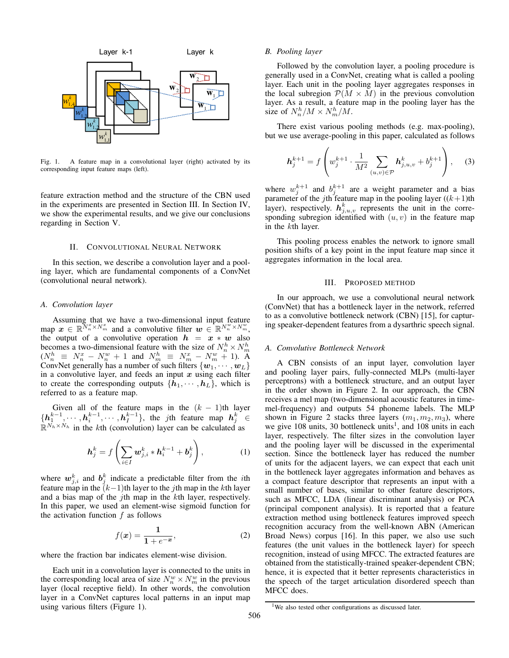

Fig. 1. A feature map in a convolutional layer (right) activated by its corresponding input feature maps (left).

feature extraction method and the structure of the CBN used in the experiments are presented in Section III. In Section IV, we show the experimental results, and we give our conclusions regarding in Section V.

#### II. CONVOLUTIONAL NEURAL NETWORK

In this section, we describe a convolution layer and a pooling layer, which are fundamental components of a ConvNet (convolutional neural network).

## *A. Convolution layer*

Assuming that we have a two-dimensional input feature map  $x \in \mathbb{R}^{N_n^x \times N_m^x}$  and a convolutive filter  $w \in \mathbb{R}^{N_n^w \times N_m^w}$ , the output of a convolutive operation  $h = x * w$  also becomes a two-dimensional feature with the size of  $N_n^h \times N_m^h$ <br>  $(N_n^h \equiv N_n^x - N_n^w + 1 \text{ and } N_m^h \equiv N_m^x - N_m^w + 1)$ . A ConvNet generally has a number of such filters  $\{w_1, \dots, w_L\}$ in a convolutive layer, and feeds an input  $x$  using each filter to create the corresponding outputs  $\{h_1, \dots, h_L\}$ , which is referred to as a feature map.

Given all of the feature maps in the  $(k-1)$ th layer  $\{h_1^{k-1}, \dots, h_i^{k-1}, \dots, h_I^{k-1}\}$ , the *j*th feature map  $h_j^k \in \mathbb{R}^{N_h \times N_h}$  in the *k*th (convolution) layer can be calculated as

$$
\boldsymbol{h}_j^k = f\left(\sum_{i\in I} \boldsymbol{w}_{j,i}^k * \boldsymbol{h}_i^{k-1} + \boldsymbol{b}_j^k\right),\tag{1}
$$

where  $w_{j,i}^k$  and  $b_j^k$  indicate a predictable filter from the *i*th feature map in the  $(k-1)$ th layer to the jth map in the kth layer and a bias map of the jth map in the kth layer, respectively. In this paper, we used an element-wise sigmoid function for the activation function  $f$  as follows

$$
f(x) = \frac{1}{1 + e^{-x}},\tag{2}
$$

where the fraction bar indicates element-wise division.

Each unit in a convolution layer is connected to the units in the corresponding local area of size  $N_m^w \times N_m^w$  in the previous layer (local receptive field). In other words, the convolution layer in a ConvNet captures local patterns in an input map using various filters (Figure 1).

## *B. Pooling layer*

Followed by the convolution layer, a pooling procedure is generally used in a ConvNet, creating what is called a pooling layer. Each unit in the pooling layer aggregates responses in the local subregion  $\mathcal{P}(M \times M)$  in the previous convolution layer. As a result, a feature map in the pooling layer has the size of  $N_n^h/M \times N_m^h/M$ .

There exist various pooling methods (e.g. max-pooling), but we use average-pooling in this paper, calculated as follows

$$
\boldsymbol{h}_{j}^{k+1} = f\left(w_{j}^{k+1} \cdot \frac{1}{M^{2}} \sum_{(u,v) \in \mathcal{P}} \boldsymbol{h}_{j,u,v}^{k} + b_{j}^{k+1}\right), \quad (3)
$$

where  $w_j^{k+1}$  and  $b_j^{k+1}$  are a weight parameter and a bias parameter of the jth feature map in the pooling layer  $((k+1)$ th layer), respectively.  $h_{j,u,v}^k$  represents the unit in the corresponding subregion identified with  $(u, v)$  in the feature map in the kth layer.

This pooling process enables the network to ignore small position shifts of a key point in the input feature map since it aggregates information in the local area.

## III. PROPOSED METHOD

In our approach, we use a convolutional neural network (ConvNet) that has a bottleneck layer in the network, referred to as a convolutive bottleneck network (CBN) [15], for capturing speaker-dependent features from a dysarthric speech signal.

#### *A. Convolutive Bottleneck Network*

A CBN consists of an input layer, convolution layer and pooling layer pairs, fully-connected MLPs (multi-layer perceptrons) with a bottleneck structure, and an output layer in the order shown in Figure 2. In our approach, the CBN receives a mel map (two-dimensional acoustic features in timemel-frequency) and outputs 54 phoneme labels. The MLP shown in Figure 2 stacks three layers  $(m_1, m_2, m_3)$ , where we give 108 units, 30 bottleneck units<sup>1</sup>, and 108 units in each layer, respectively. The filter sizes in the convolution layer and the pooling layer will be discussed in the experimental section. Since the bottleneck layer has reduced the number of units for the adjacent layers, we can expect that each unit in the bottleneck layer aggregates information and behaves as a compact feature descriptor that represents an input with a small number of bases, similar to other feature descriptors, such as MFCC, LDA (linear discriminant analysis) or PCA (principal component analysis). It is reported that a feature extraction method using bottleneck features improved speech recognition accuracy from the well-known ABN (American Broad News) corpus [16]. In this paper, we also use such features (the unit values in the bottleneck layer) for speech recognition, instead of using MFCC. The extracted features are obtained from the statistically-trained speaker-dependent CBN; hence, it is expected that it better represents characteristics in the speech of the target articulation disordered speech than MFCC does.

<sup>&</sup>lt;sup>1</sup>We also tested other configurations as discussed later.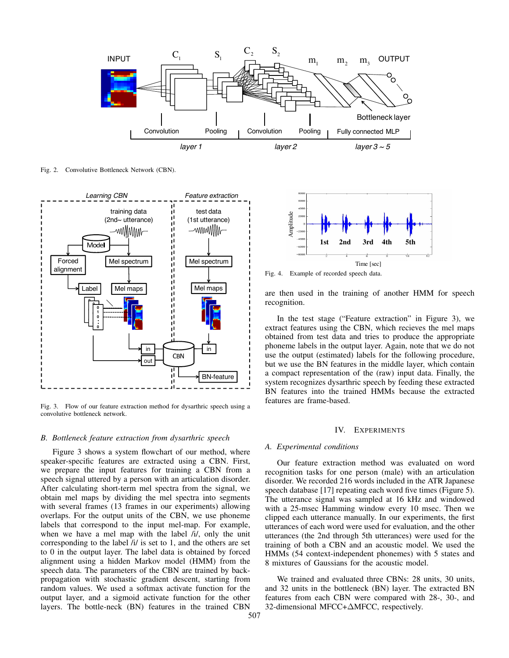

Fig. 2. Convolutive Bottleneck Network (CBN).



Fig. 3. Flow of our feature extraction method for dysarthric speech using a convolutive bottleneck network.

#### *B. Bottleneck feature extraction from dysarthric speech*

Figure 3 shows a system flowchart of our method, where speaker-specific features are extracted using a CBN. First, we prepare the input features for training a CBN from a speech signal uttered by a person with an articulation disorder. After calculating short-term mel spectra from the signal, we obtain mel maps by dividing the mel spectra into segments with several frames (13 frames in our experiments) allowing overlaps. For the output units of the CBN, we use phoneme labels that correspond to the input mel-map. For example, when we have a mel map with the label /i/, only the unit corresponding to the label /i/ is set to 1, and the others are set to 0 in the output layer. The label data is obtained by forced alignment using a hidden Markov model (HMM) from the speech data. The parameters of the CBN are trained by backpropagation with stochastic gradient descent, starting from random values. We used a softmax activate function for the output layer, and a sigmoid activate function for the other layers. The bottle-neck (BN) features in the trained CBN



Fig. 4. Example of recorded speech data.

are then used in the training of another HMM for speech recognition.

In the test stage ("Feature extraction" in Figure 3), we extract features using the CBN, which recieves the mel maps obtained from test data and tries to produce the appropriate phoneme labels in the output layer. Again, note that we do not use the output (estimated) labels for the following procedure, but we use the BN features in the middle layer, which contain a compact representation of the (raw) input data. Finally, the system recognizes dysarthric speech by feeding these extracted BN features into the trained HMMs because the extracted features are frame-based.

# IV. EXPERIMENTS

### *A. Experimental conditions*

Our feature extraction method was evaluated on word recognition tasks for one person (male) with an articulation disorder. We recorded 216 words included in the ATR Japanese speech database [17] repeating each word five times (Figure 5). The utterance signal was sampled at 16 kHz and windowed with a 25-msec Hamming window every 10 msec. Then we clipped each utterance manually. In our experiments, the first utterances of each word were used for evaluation, and the other utterances (the 2nd through 5th utterances) were used for the training of both a CBN and an acoustic model. We used the HMMs (54 context-independent phonemes) with 5 states and 8 mixtures of Gaussians for the acoustic model.

We trained and evaluated three CBNs: 28 units, 30 units, and 32 units in the bottleneck (BN) layer. The extracted BN features from each CBN were compared with 28-, 30-, and 32-dimensional MFCC+∆MFCC, respectively.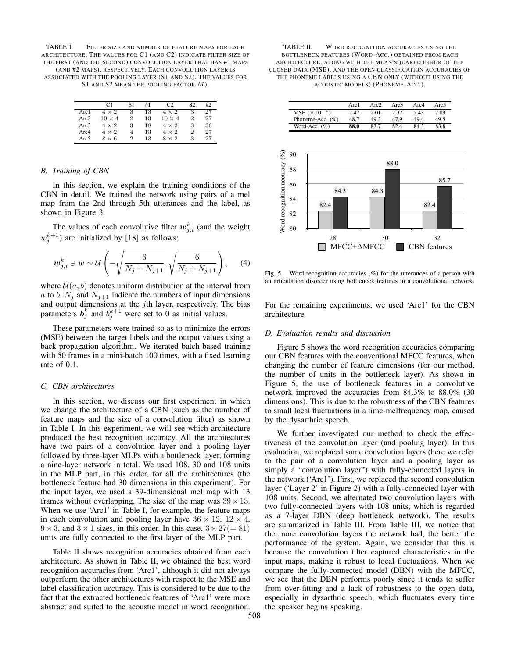| TABLE I. | FILTER SIZE AND NUMBER OF FEATURE MAPS FOR EACH                  |
|----------|------------------------------------------------------------------|
|          | ARCHITECTURE. THE VALUES FOR C1 (AND C2) INDICATE FILTER SIZE OF |
|          | THE FIRST (AND THE SECOND) CONVOLUTION LAYER THAT HAS #1 MAPS    |
|          | (AND #2 MAPS), RESPECTIVELY. EACH CONVOLUTION LAYER IS           |
|          | ASSOCIATED WITH THE POOLING LAYER (S1 AND S2). THE VALUES FOR    |
|          | S1 AND S2 MEAN THE POOLING FACTOR $M$ ).                         |

|         | C <sub>1</sub> | S1                          | #1 | $\mathcal{C}$ | S2             | #2 |
|---------|----------------|-----------------------------|----|---------------|----------------|----|
| Arc1    | $4 \times 2$   | 3                           | 13 | $4 \times 2$  | З              | 27 |
| Arc $2$ | $10 \times 4$  | $\overline{2}$              | 13 | $10 \times 4$ | $\overline{2}$ | 27 |
| Arc3    | $4 \times 2$   | 3                           | 18 | $4 \times 2$  | 3              | 36 |
| Arc4    | $4 \times 2$   | 4                           | 13 | $4 \times 2$  | $\overline{2}$ | 27 |
| Arc5    | $8 \times 6$   | $\mathcal{D}_{\mathcal{L}}$ | 13 | $8 \times 2$  | 3              | 27 |

#### *B. Training of CBN*

In this section, we explain the training conditions of the CBN in detail. We trained the network using pairs of a mel map from the 2nd through 5th utterances and the label, as shown in Figure 3.

The values of each convolutive filter  $w_{j,i}^k$  (and the weight  $w_j^{k+1}$ ) are initialized by [18] as follows:

$$
\boldsymbol{w}_{j,i}^k \ni w \sim \mathcal{U}\left(-\sqrt{\frac{6}{N_j + N_{j+1}}}, \sqrt{\frac{6}{N_j + N_{j+1}}}\right), \quad (4)
$$

where  $\mathcal{U}(a, b)$  denotes uniform distribution at the interval from a to b.  $N_j$  and  $N_{j+1}$  indicate the numbers of input dimensions and output dimensions at the  $j$ th layer, respectively. The bias parameters  $b_j^k$  and  $b_j^{k+1}$  were set to 0 as initial values.

These parameters were trained so as to minimize the errors (MSE) between the target labels and the output values using a back-propagation algorithm. We iterated batch-based training with 50 frames in a mini-batch 100 times, with a fixed learning rate of 0.1.

# *C. CBN architectures*

In this section, we discuss our first experiment in which we change the architecture of a CBN (such as the number of feature maps and the size of a convolution filter) as shown in Table I. In this experiment, we will see which architecture produced the best recognition accuracy. All the architectures have two pairs of a convolution layer and a pooling layer followed by three-layer MLPs with a bottleneck layer, forming a nine-layer network in total. We used 108, 30 and 108 units in the MLP part, in this order, for all the architectures (the bottleneck feature had 30 dimensions in this experiment). For the input layer, we used a 39-dimensional mel map with 13 frames without overlapping. The size of the map was  $39 \times 13$ . When we use 'Arc1' in Table I, for example, the feature maps in each convolution and pooling layer have  $36 \times 12$ ,  $12 \times 4$ ,  $9 \times 3$ , and  $3 \times 1$  sizes, in this order. In this case,  $3 \times 27(= 81)$ units are fully connected to the first layer of the MLP part.

Table II shows recognition accuracies obtained from each architecture. As shown in Table II, we obtained the best word recognition accuracies from 'Arc1', although it did not always outperform the other architectures with respect to the MSE and label classification accuracy. This is considered to be due to the fact that the extracted bottleneck features of 'Arc1' were more abstract and suited to the acoustic model in word recognition.

TABLE II. WORD RECOGNITION ACCURACIES USING THE BOTTLENECK FEATURES (WORD-ACC.) OBTAINED FROM EACH ARCHITECTURE, ALONG WITH THE MEAN SQUARED ERROR OF THE CLOSED DATA (MSE), AND THE OPEN CLASSIFICATION ACCURACIES OF THE PHONEME LABELS USING A CBN ONLY (WITHOUT USING THE ACOUSTIC MODELS) (PHONEME-ACC.).

|                        | Arc <sub>1</sub> | Arc $2$ | Arc $\frac{3}{2}$ | Arc4 | Arc5 |
|------------------------|------------------|---------|-------------------|------|------|
| MSE $(\times 10^{-1})$ | 2.42             | 2.01    | 2.32              | 2.43 | 2.09 |
| Phoneme-Acc. $(\% )$   | 48.7             | 49.3    | 479               | 49.4 | 49.5 |
| Word-Acc. $(\%)$       | 88.0             | 87 7    | 82.4              | 84.3 | 83.8 |



Fig. 5. Word recognition accuracies (%) for the utterances of a person with an articulation disorder using bottleneck features in a convolutional network.

For the remaining experiments, we used 'Arc1' for the CBN architecture.

# *D. Evaluation results and discussion*

Figure 5 shows the word recognition accuracies comparing our CBN features with the conventional MFCC features, when changing the number of feature dimensions (for our method, the number of units in the bottleneck layer). As shown in Figure 5, the use of bottleneck features in a convolutive network improved the accuracies from 84.3% to 88.0% (30 dimensions). This is due to the robustness of the CBN features to small local fluctuations in a time-melfrequency map, caused by the dysarthric speech.

We further investigated our method to check the effectiveness of the convolution layer (and pooling layer). In this evaluation, we replaced some convolution layers (here we refer to the pair of a convolution layer and a pooling layer as simply a "convolution layer") with fully-connected layers in the network ('Arc1'). First, we replaced the second convolution layer ('Layer 2' in Figure 2) with a fully-connected layer with 108 units. Second, we alternated two convolution layers with two fully-connected layers with 108 units, which is regarded as a 7-layer DBN (deep bottleneck network). The results are summarized in Table III. From Table III, we notice that the more convolution layers the network had, the better the performance of the system. Again, we consider that this is because the convolution filter captured characteristics in the input maps, making it robust to local fluctuations. When we compare the fully-connected model (DBN) with the MFCC, we see that the DBN performs poorly since it tends to suffer from over-fitting and a lack of robustness to the open data, especially in dysarthric speech, which fluctuates every time the speaker begins speaking.